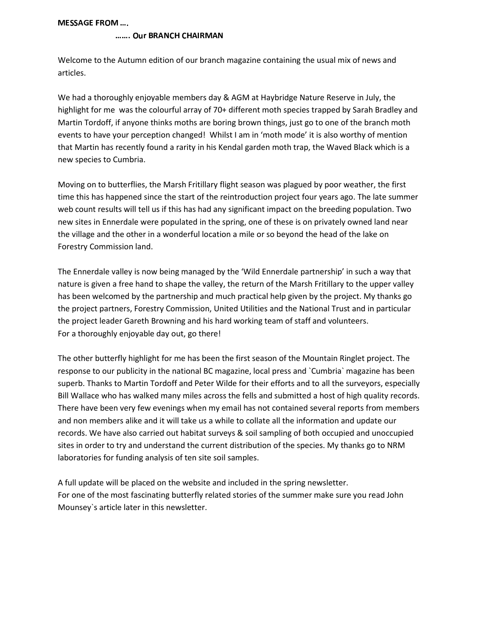$MFSSAGE$  FROM  $....$ 

#### OUT BRANCH CHAIRMAN

Welcome to the Autumn edition of our branch magazine containing the usual mix of news and articles.

We had a thoroughly enjoyable members day & AGM at Haybridge Nature Reserve in July, the highlight for me was the colourful array of 70+ different moth species trapped by Sarah Bradley and Martin Tordoff, if anyone thinks moths are boring brown things, just go to one of the branch moth events to have your perception changed! Whilst I am in 'moth mode' it is also worthy of mention that Martin has recently found a rarity in his Kendal garden moth trap, the Waved Black which is a new species to Cumbria.

Moving on to butterflies, the Marsh Fritillary flight season was plagued by poor weather, the first time this has happened since the start of the reintroduction project four years ago. The late summer web count results will tell us if this has had any significant impact on the breeding population. Two new sites in Ennerdale were populated in the spring, one of these is on privately owned land near the village and the other in a wonderful location a mile or so beyond the head of the lake on Forestry Commission land.

The Ennerdale valley is now being managed by the 'Wild Ennerdale partnership' in such a way that nature is given a free hand to shape the valley, the return of the Marsh Fritillary to the upper valley has been welcomed by the partnership and much practical help given by the project. My thanks go the project partners, Forestry Commission, United Utilities and the National Trust and in particular the project leader Gareth Browning and his hard working team of staff and volunteers. For a thoroughly enjoyable day out, go there!

The other butterfly highlight for me has been the first season of the Mountain Ringlet project. The response to our publicity in the national BC magazine, local press and `Cumbria` magazine has been superb. Thanks to Martin Tordoff and Peter Wilde for their efforts and to all the surveyors, especially Bill Wallace who has walked many miles across the fells and submitted a host of high quality records. There have been very few evenings when my email has not contained several reports from members and non members alike and it will take us a while to collate all the information and update our records. We have also carried out habitat surveys & soil sampling of both occupied and unoccupied sites in order to try and understand the current distribution of the species. My thanks go to NRM laboratories for funding analysis of ten site soil samples.

A full update will be placed on the website and included in the spring newsletter. For one of the most fascinating butterfly related stories of the summer make sure you read John Mounsey`s article later in this newsletter.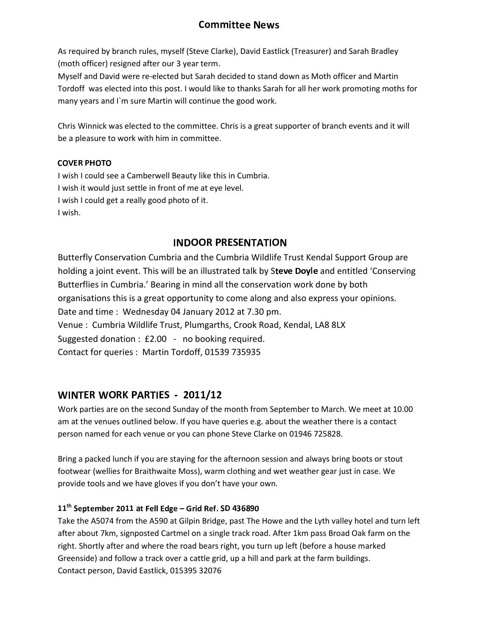## --

As required by branch rules, myself (Steve Clarke), David Eastlick (Treasurer) and Sarah Bradley (moth officer) resigned after our 3 year term.

Myself and David were re-elected but Sarah decided to stand down as Moth officer and Martin Tordoff was elected into this post. I would like to thanks Sarah for all her work promoting moths for many years and I`m sure Martin will continue the good work.

Chris Winnick was elected to the committee. Chris is a great supporter of branch events and it will be a pleasure to work with him in committee.

## \_ \_ \_ \_ \_ \_ \_ \_ \_ \_ \_

I wish I could see a Camberwell Beauty like this in Cumbria. I wish it would just settle in front of me at eye level. I wish I could get a really good photo of it. I wish.

## **INDOOR PRESENTATION**

Butterfly Conservation Cumbria and the Cumbria Wildlife Trust Kendal Support Group are holding a joint event. This will be an illustrated talk by Steve Doyle and entitled 'Conserving Butterflies in Cumbria.' Bearing in mind all the conservation work done by both organisations this is a great opportunity to come along and also express your opinions. Date and time : Wednesday 04 January 2012 at 7.30 pm. Venue : Cumbria Wildlife Trust, Plumgarths, Crook Road, Kendal, LA8 8LX Suggested donation : £2.00 - no booking required. Contact for queries : Martin Tordoff, 01539 735935

## **WINTER WORK PARTIES - 2011/12**

Work parties are on the second Sunday of the month from September to March. We meet at 10.00 am at the venues outlined below. If you have queries e.g. about the weather there is a contact person named for each venue or you can phone Steve Clarke on 01946 725828.

Bring a packed lunch if you are staying for the afternoon session and always bring boots or stout footwear (wellies for Braithwaite Moss), warm clothing and wet weather gear just in case. We provide tools and we have gloves if you don't have your own.

## $\mathbf{11}^\text{th}$  September 2011 at Fell Edge – Grid Ref. SD 436890

Take the A5074 from the A590 at Gilpin Bridge, past The Howe and the Lyth valley hotel and turn left after about 7km, signposted Cartmel on a single track road. After 1km pass Broad Oak farm on the right. Shortly after and where the road bears right, you turn up left (before a house marked Greenside) and follow a track over a cattle grid, up a hill and park at the farm buildings. Contact person, David Eastlick, 015395 32076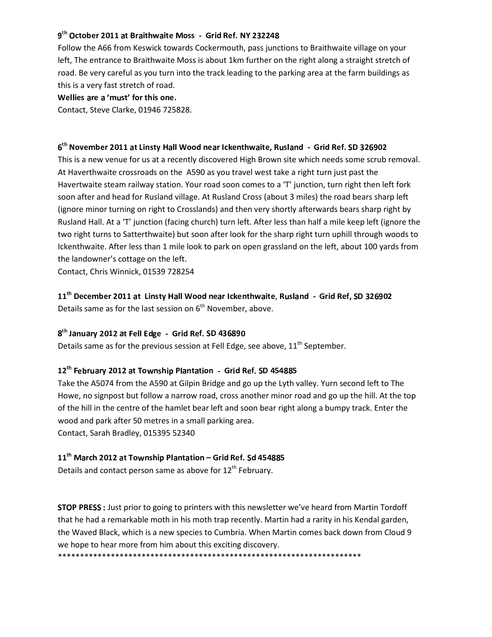### $9^{\text{th}}$  October 2011 at Braithwaite Moss - Grid Ref  $\:$  NY 232248  $\:$

Follow the A66 from Keswick towards Cockermouth, pass junctions to Braithwaite village on your left, The entrance to Braithwaite Moss is about 1km further on the right along a straight stretch of road. Be very careful as you turn into the track leading to the parking area at the farm buildings as this is a very fast stretch of road.

Wellies are a 'must' for this one.  $\,$ 

Contact, Steve Clarke, 01946 725828.

### 6<sup>th</sup> November 2011 at Linsty Hall Wood near Ickenthwaite, Rusland – Grid Ref, SD 326902

This is a new venue for us at a recently discovered High Brown site which needs some scrub removal. At Haverthwaite crossroads on the A590 as you travel west take a right turn just past the Havertwaite steam railway station. Your road soon comes to a 'T' junction, turn right then left fork soon after and head for Rusland village. At Rusland Cross (about 3 miles) the road bears sharp left (ignore minor turning on right to Crosslands) and then very shortly afterwards bears sharp right by Rusland Hall. At a 'T' junction (facing church) turn left. After less than half a mile keep left (ignore the two right turns to Satterthwaite) but soon after look for the sharp right turn uphill through woods to Ickenthwaite. After less than 1 mile look to park on open grassland on the left, about 100 yards from the landowner's cottage on the left.

Contact, Chris Winnick, 01539 728254

## $11^{\text{th}}$  December 2011 at Linsty Hall Wood near Ickenthwaite, Rusland - Grid Ref, SD 326902  $\,$ Details same as for the last session on  $6<sup>th</sup>$  November, above.

#### $8^{\rm th}$  January 2012 at Fell Edge - Grid Ref. SD 436890.

Details same as for the previous session at Fell Edge, see above,  $11<sup>th</sup>$  September.

#### 12<sup>th</sup> February 2012 at Township Plantation - Grid Ref. SD 454885

Take the A5074 from the A590 at Gilpin Bridge and go up the Lyth valley. Yurn second left to The Howe, no signpost but follow a narrow road, cross another minor road and go up the hill. At the top of the hill in the centre of the hamlet bear left and soon bear right along a bumpy track. Enter the wood and park after 50 metres in a small parking area. Contact, Sarah Bradley, 015395 52340

## $11^{\rm th}$  March 2012 at Township Plantation  $-$  Grid Ref. Sd 454885

Details and contact person same as above for  $12<sup>th</sup>$  February.

STOP PRESS : Just prior to going to printers with this newsletter we've heard from Martin Tordoff that he had a remarkable moth in his moth trap recently. Martin had a rarity in his Kendal garden, the Waved Black, which is a new species to Cumbria. When Martin comes back down from Cloud 9 we hope to hear more from him about this exciting discovery. \*\*\*\*\*\*\*\*\*\*\*\*\*\*\*\*\*\*\*\*\*\*\*\*\*\*\*\*\*\*\*\*\*\*\*\*\*\*\*\*\*\*\*\*\*\*\*\*\*\*\*\*\*\*\*\*\*\*\*\*\*\*\*\*\*\*\*\*\*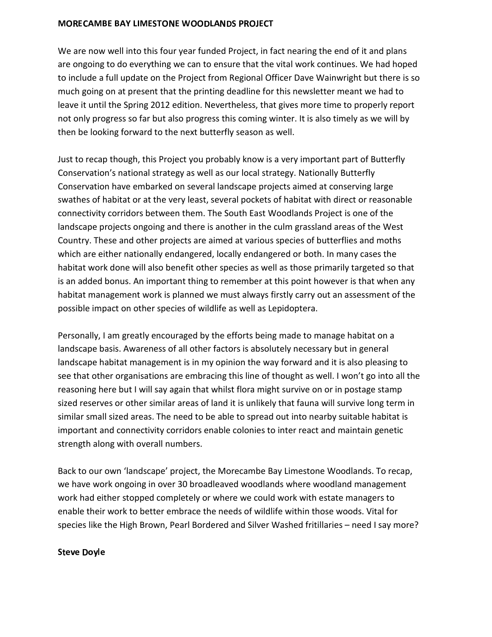#### MORECAMBE BAY LIMESTONE WOODLANDS PROJECT THAT AND AND THE WOODLANDS PROJECT.

We are now well into this four year funded Project, in fact nearing the end of it and plans are ongoing to do everything we can to ensure that the vital work continues. We had hoped to include a full update on the Project from Regional Officer Dave Wainwright but there is so much going on at present that the printing deadline for this newsletter meant we had to leave it until the Spring 2012 edition. Nevertheless, that gives more time to properly report not only progress so far but also progress this coming winter. It is also timely as we will by then be looking forward to the next butterfly season as well.

Just to recap though, this Project you probably know is a very important part of Butterfly Conservation's national strategy as well as our local strategy. Nationally Butterfly Conservation have embarked on several landscape projects aimed at conserving large swathes of habitat or at the very least, several pockets of habitat with direct or reasonable connectivity corridors between them. The South East Woodlands Project is one of the landscape projects ongoing and there is another in the culm grassland areas of the West Country. These and other projects are aimed at various species of butterflies and moths which are either nationally endangered, locally endangered or both. In many cases the habitat work done will also benefit other species as well as those primarily targeted so that is an added bonus. An important thing to remember at this point however is that when any habitat management work is planned we must always firstly carry out an assessment of the possible impact on other species of wildlife as well as Lepidoptera.

Personally, I am greatly encouraged by the efforts being made to manage habitat on a landscape basis. Awareness of all other factors is absolutely necessary but in general landscape habitat management is in my opinion the way forward and it is also pleasing to see that other organisations are embracing this line of thought as well. I won't go into all the reasoning here but I will say again that whilst flora might survive on or in postage stamp sized reserves or other similar areas of land it is unlikely that fauna will survive long term in similar small sized areas. The need to be able to spread out into nearby suitable habitat is important and connectivity corridors enable colonies to inter react and maintain genetic strength along with overall numbers.

Back to our own 'landscape' project, the Morecambe Bay Limestone Woodlands. To recap, we have work ongoing in over 30 broadleaved woodlands where woodland management work had either stopped completely or where we could work with estate managers to enable their work to better embrace the needs of wildlife within those woods. Vital for species like the High Brown, Pearl Bordered and Silver Washed fritillaries – need I say more?

#### Steve Dovle **Steve**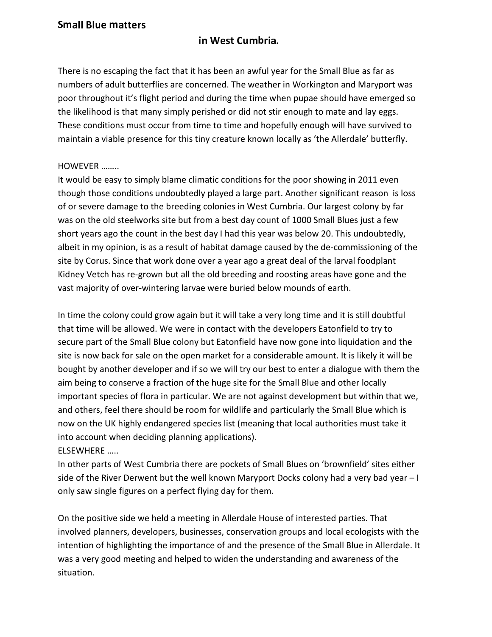## -

There is no escaping the fact that it has been an awful year for the Small Blue as far as numbers of adult butterflies are concerned. The weather in Workington and Maryport was poor throughout it's flight period and during the time when pupae should have emerged so the likelihood is that many simply perished or did not stir enough to mate and lay eggs. These conditions must occur from time to time and hopefully enough will have survived to maintain a viable presence for this tiny creature known locally as 'the Allerdale' butterfly.

## HOWEVER ……..

It would be easy to simply blame climatic conditions for the poor showing in 2011 even though those conditions undoubtedly played a large part. Another significant reason is loss of or severe damage to the breeding colonies in West Cumbria. Our largest colony by far was on the old steelworks site but from a best day count of 1000 Small Blues just a few short years ago the count in the best day I had this year was below 20. This undoubtedly, albeit in my opinion, is as a result of habitat damage caused by the de-commissioning of the site by Corus. Since that work done over a year ago a great deal of the larval foodplant Kidney Vetch has re-grown but all the old breeding and roosting areas have gone and the vast majority of over-wintering larvae were buried below mounds of earth.

In time the colony could grow again but it will take a very long time and it is still doubtful that time will be allowed. We were in contact with the developers Eatonfield to try to secure part of the Small Blue colony but Eatonfield have now gone into liquidation and the site is now back for sale on the open market for a considerable amount. It is likely it will be bought by another developer and if so we will try our best to enter a dialogue with them the aim being to conserve a fraction of the huge site for the Small Blue and other locally important species of flora in particular. We are not against development but within that we, and others, feel there should be room for wildlife and particularly the Small Blue which is now on the UK highly endangered species list (meaning that local authorities must take it into account when deciding planning applications). ELSEWHERE …..

In other parts of West Cumbria there are pockets of Small Blues on 'brownfield' sites either side of the River Derwent but the well known Maryport Docks colony had a very bad year – I only saw single figures on a perfect flying day for them.

On the positive side we held a meeting in Allerdale House of interested parties. That involved planners, developers, businesses, conservation groups and local ecologists with the intention of highlighting the importance of and the presence of the Small Blue in Allerdale. It was a very good meeting and helped to widen the understanding and awareness of the situation.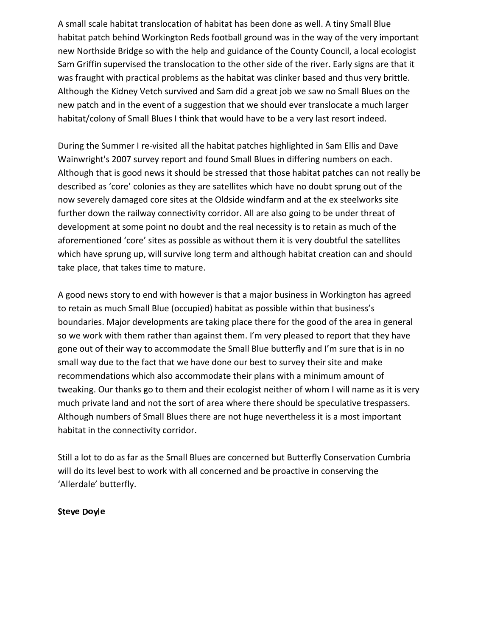A small scale habitat translocation of habitat has been done as well. A tiny Small Blue habitat patch behind Workington Reds football ground was in the way of the very important new Northside Bridge so with the help and guidance of the County Council, a local ecologist Sam Griffin supervised the translocation to the other side of the river. Early signs are that it was fraught with practical problems as the habitat was clinker based and thus very brittle. Although the Kidney Vetch survived and Sam did a great job we saw no Small Blues on the new patch and in the event of a suggestion that we should ever translocate a much larger habitat/colony of Small Blues I think that would have to be a very last resort indeed.

During the Summer I re-visited all the habitat patches highlighted in Sam Ellis and Dave Wainwright's 2007 survey report and found Small Blues in differing numbers on each. Although that is good news it should be stressed that those habitat patches can not really be described as 'core' colonies as they are satellites which have no doubt sprung out of the now severely damaged core sites at the Oldside windfarm and at the ex steelworks site further down the railway connectivity corridor. All are also going to be under threat of development at some point no doubt and the real necessity is to retain as much of the aforementioned 'core' sites as possible as without them it is very doubtful the satellites which have sprung up, will survive long term and although habitat creation can and should take place, that takes time to mature.

A good news story to end with however is that a major business in Workington has agreed to retain as much Small Blue (occupied) habitat as possible within that business's boundaries. Major developments are taking place there for the good of the area in general so we work with them rather than against them. I'm very pleased to report that they have gone out of their way to accommodate the Small Blue butterfly and I'm sure that is in no small way due to the fact that we have done our best to survey their site and make recommendations which also accommodate their plans with a minimum amount of tweaking. Our thanks go to them and their ecologist neither of whom I will name as it is very much private land and not the sort of area where there should be speculative trespassers. Although numbers of Small Blues there are not huge nevertheless it is a most important habitat in the connectivity corridor.

Still a lot to do as far as the Small Blues are concerned but Butterfly Conservation Cumbria will do its level best to work with all concerned and be proactive in conserving the 'Allerdale' butterfly.

## Steve Dovle **Steve**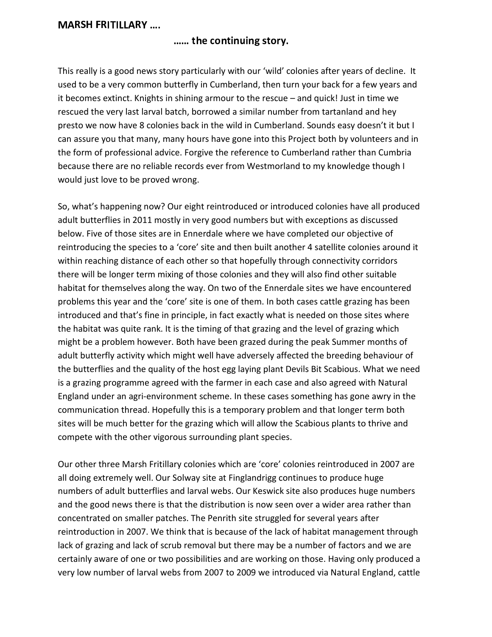## $\blacksquare$

## the contract of the contract of the contract of the contract of the contract of the contract of the contract of

This really is a good news story particularly with our 'wild' colonies after years of decline. It used to be a very common butterfly in Cumberland, then turn your back for a few years and it becomes extinct. Knights in shining armour to the rescue – and quick! Just in time we rescued the very last larval batch, borrowed a similar number from tartanland and hey presto we now have 8 colonies back in the wild in Cumberland. Sounds easy doesn't it but I can assure you that many, many hours have gone into this Project both by volunteers and in the form of professional advice. Forgive the reference to Cumberland rather than Cumbria because there are no reliable records ever from Westmorland to my knowledge though I would just love to be proved wrong.

So, what's happening now? Our eight reintroduced or introduced colonies have all produced adult butterflies in 2011 mostly in very good numbers but with exceptions as discussed below. Five of those sites are in Ennerdale where we have completed our objective of reintroducing the species to a 'core' site and then built another 4 satellite colonies around it within reaching distance of each other so that hopefully through connectivity corridors there will be longer term mixing of those colonies and they will also find other suitable habitat for themselves along the way. On two of the Ennerdale sites we have encountered problems this year and the 'core' site is one of them. In both cases cattle grazing has been introduced and that's fine in principle, in fact exactly what is needed on those sites where the habitat was quite rank. It is the timing of that grazing and the level of grazing which might be a problem however. Both have been grazed during the peak Summer months of adult butterfly activity which might well have adversely affected the breeding behaviour of the butterflies and the quality of the host egg laying plant Devils Bit Scabious. What we need is a grazing programme agreed with the farmer in each case and also agreed with Natural England under an agri-environment scheme. In these cases something has gone awry in the communication thread. Hopefully this is a temporary problem and that longer term both sites will be much better for the grazing which will allow the Scabious plants to thrive and compete with the other vigorous surrounding plant species.

Our other three Marsh Fritillary colonies which are 'core' colonies reintroduced in 2007 are all doing extremely well. Our Solway site at Finglandrigg continues to produce huge numbers of adult butterflies and larval webs. Our Keswick site also produces huge numbers and the good news there is that the distribution is now seen over a wider area rather than concentrated on smaller patches. The Penrith site struggled for several years after reintroduction in 2007. We think that is because of the lack of habitat management through lack of grazing and lack of scrub removal but there may be a number of factors and we are certainly aware of one or two possibilities and are working on those. Having only produced a very low number of larval webs from 2007 to 2009 we introduced via Natural England, cattle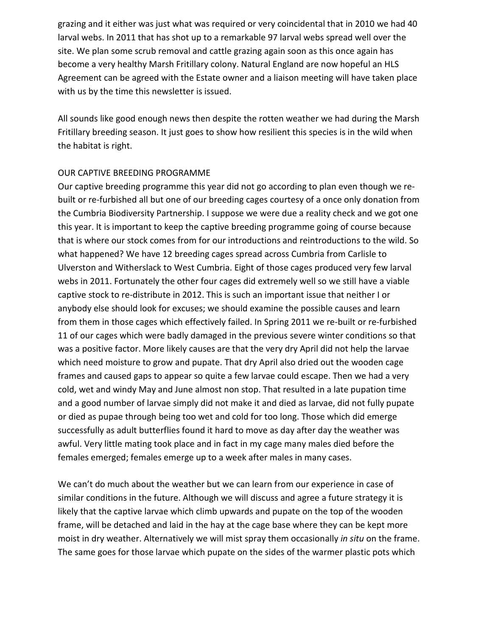grazing and it either was just what was required or very coincidental that in 2010 we had 40 larval webs. In 2011 that has shot up to a remarkable 97 larval webs spread well over the site. We plan some scrub removal and cattle grazing again soon as this once again has become a very healthy Marsh Fritillary colony. Natural England are now hopeful an HLS Agreement can be agreed with the Estate owner and a liaison meeting will have taken place with us by the time this newsletter is issued.

All sounds like good enough news then despite the rotten weather we had during the Marsh Fritillary breeding season. It just goes to show how resilient this species is in the wild when the habitat is right.

## OUR CAPTIVE BREEDING PROGRAMME

Our captive breeding programme this year did not go according to plan even though we rebuilt or re-furbished all but one of our breeding cages courtesy of a once only donation from the Cumbria Biodiversity Partnership. I suppose we were due a reality check and we got one this year. It is important to keep the captive breeding programme going of course because that is where our stock comes from for our introductions and reintroductions to the wild. So what happened? We have 12 breeding cages spread across Cumbria from Carlisle to Ulverston and Witherslack to West Cumbria. Eight of those cages produced very few larval webs in 2011. Fortunately the other four cages did extremely well so we still have a viable captive stock to re-distribute in 2012. This is such an important issue that neither I or anybody else should look for excuses; we should examine the possible causes and learn from them in those cages which effectively failed. In Spring 2011 we re-built or re-furbished 11 of our cages which were badly damaged in the previous severe winter conditions so that was a positive factor. More likely causes are that the very dry April did not help the larvae which need moisture to grow and pupate. That dry April also dried out the wooden cage frames and caused gaps to appear so quite a few larvae could escape. Then we had a very cold, wet and windy May and June almost non stop. That resulted in a late pupation time and a good number of larvae simply did not make it and died as larvae, did not fully pupate or died as pupae through being too wet and cold for too long. Those which did emerge successfully as adult butterflies found it hard to move as day after day the weather was awful. Very little mating took place and in fact in my cage many males died before the females emerged; females emerge up to a week after males in many cases.

We can't do much about the weather but we can learn from our experience in case of similar conditions in the future. Although we will discuss and agree a future strategy it is likely that the captive larvae which climb upwards and pupate on the top of the wooden frame, will be detached and laid in the hay at the cage base where they can be kept more moist in dry weather. Alternatively we will mist spray them occasionally *in situ* on the frame. The same goes for those larvae which pupate on the sides of the warmer plastic pots which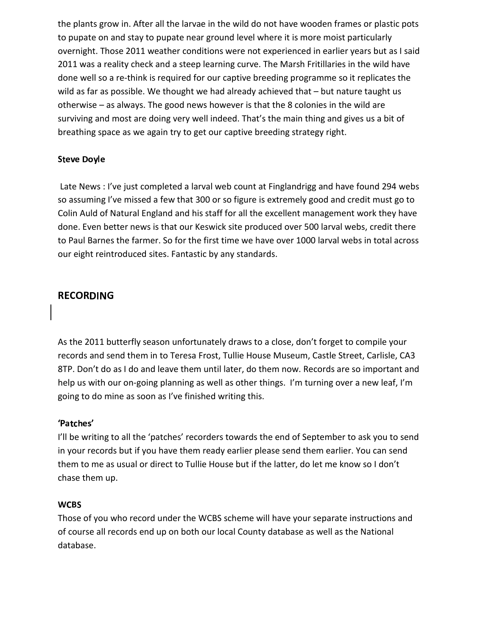the plants grow in. After all the larvae in the wild do not have wooden frames or plastic pots to pupate on and stay to pupate near ground level where it is more moist particularly overnight. Those 2011 weather conditions were not experienced in earlier years but as I said 2011 was a reality check and a steep learning curve. The Marsh Fritillaries in the wild have done well so a re-think is required for our captive breeding programme so it replicates the wild as far as possible. We thought we had already achieved that – but nature taught us otherwise – as always. The good news however is that the 8 colonies in the wild are surviving and most are doing very well indeed. That's the main thing and gives us a bit of breathing space as we again try to get our captive breeding strategy right.

## Steve Dovle **Steve**

 Late News : I've just completed a larval web count at Finglandrigg and have found 294 webs so assuming I've missed a few that 300 or so figure is extremely good and credit must go to Colin Auld of Natural England and his staff for all the excellent management work they have done. Even better news is that our Keswick site produced over 500 larval webs, credit there to Paul Barnes the farmer. So for the first time we have over 1000 larval webs in total across our eight reintroduced sites. Fantastic by any standards.

## **RECORDING**

As the 2011 butterfly season unfortunately draws to a close, don't forget to compile your records and send them in to Teresa Frost, Tullie House Museum, Castle Street, Carlisle, CA3 8TP. Don't do as I do and leave them until later, do them now. Records are so important and help us with our on-going planning as well as other things. I'm turning over a new leaf, I'm going to do mine as soon as I've finished writing this.

## 'Patches'

I'll be writing to all the 'patches' recorders towards the end of September to ask you to send in your records but if you have them ready earlier please send them earlier. You can send them to me as usual or direct to Tullie House but if the latter, do let me know so I don't chase them up.

## **WCBS**

Those of you who record under the WCBS scheme will have your separate instructions and of course all records end up on both our local County database as well as the National database.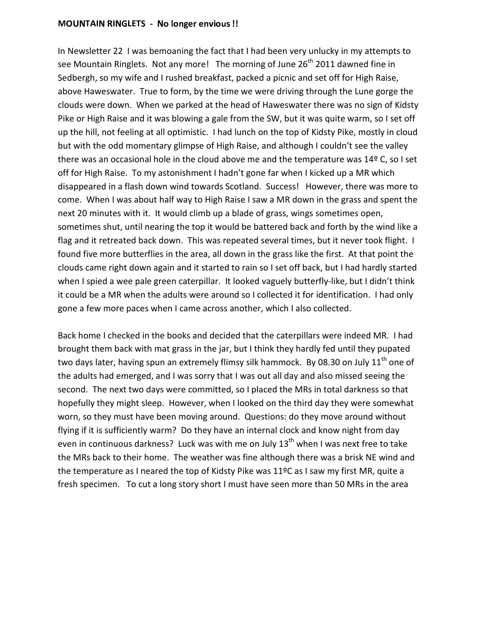#### MOUNTAIN RINGLETS – No longer envious !!

In Newsletter 22 I was bemoaning the fact that I had been very unlucky in my attempts to see Mountain Ringlets. Not any more! The morning of June 26<sup>th</sup> 2011 dawned fine in Sedbergh, so my wife and I rushed breakfast, packed a picnic and set off for High Raise, above Haweswater. True to form, by the time we were driving through the Lune gorge the clouds were down. When we parked at the head of Haweswater there was no sign of Kidsty Pike or High Raise and it was blowing a gale from the SW, but it was quite warm, so I set off up the hill, not feeling at all optimistic. I had lunch on the top of Kidsty Pike, mostly in cloud but with the odd momentary glimpse of High Raise, and although I couldn't see the valley there was an occasional hole in the cloud above me and the temperature was 14º C, so I set off for High Raise. To my astonishment I hadn't gone far when I kicked up a MR which disappeared in a flash down wind towards Scotland. Success! However, there was more to come. When I was about half way to High Raise I saw a MR down in the grass and spent the next 20 minutes with it. It would climb up a blade of grass, wings sometimes open, sometimes shut, until nearing the top it would be battered back and forth by the wind like a flag and it retreated back down. This was repeated several times, but it never took flight. I found five more butterflies in the area, all down in the grass like the first. At that point the clouds came right down again and it started to rain so I set off back, but I had hardly started when I spied a wee pale green caterpillar. It looked vaguely butterfly-like, but I didn't think it could be a MR when the adults were around so I collected it for identification. I had only gone a few more paces when I came across another, which I also collected.

Back home I checked in the books and decided that the caterpillars were indeed MR. I had brought them back with mat grass in the jar, but I think they hardly fed until they pupated two days later, having spun an extremely flimsy silk hammock. By 08.30 on July  $11<sup>th</sup>$  one of the adults had emerged, and I was sorry that I was out all day and also missed seeing the second. The next two days were committed, so I placed the MRs in total darkness so that hopefully they might sleep. However, when I looked on the third day they were somewhat worn, so they must have been moving around. Questions: do they move around without flying if it is sufficiently warm? Do they have an internal clock and know night from day even in continuous darkness? Luck was with me on July  $13<sup>th</sup>$  when I was next free to take the MRs back to their home. The weather was fine although there was a brisk NE wind and the temperature as I neared the top of Kidsty Pike was 11ºC as I saw my first MR, quite a fresh specimen. To cut a long story short I must have seen more than 50 MRs in the area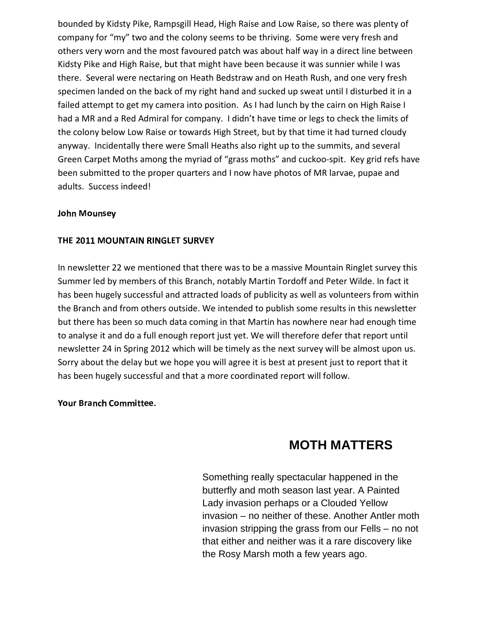bounded by Kidsty Pike, Rampsgill Head, High Raise and Low Raise, so there was plenty of company for "my" two and the colony seems to be thriving. Some were very fresh and others very worn and the most favoured patch was about half way in a direct line between Kidsty Pike and High Raise, but that might have been because it was sunnier while I was there. Several were nectaring on Heath Bedstraw and on Heath Rush, and one very fresh specimen landed on the back of my right hand and sucked up sweat until I disturbed it in a failed attempt to get my camera into position. As I had lunch by the cairn on High Raise I had a MR and a Red Admiral for company. I didn't have time or legs to check the limits of the colony below Low Raise or towards High Street, but by that time it had turned cloudy anyway. Incidentally there were Small Heaths also right up to the summits, and several Green Carpet Moths among the myriad of "grass moths" and cuckoo-spit. Key grid refs have been submitted to the proper quarters and I now have photos of MR larvae, pupae and adults. Success indeed!

## John Mounsev

## -   -  -

In newsletter 22 we mentioned that there was to be a massive Mountain Ringlet survey this Summer led by members of this Branch, notably Martin Tordoff and Peter Wilde. In fact it has been hugely successful and attracted loads of publicity as well as volunteers from within the Branch and from others outside. We intended to publish some results in this newsletter but there has been so much data coming in that Martin has nowhere near had enough time to analyse it and do a full enough report just yet. We will therefore defer that report until newsletter 24 in Spring 2012 which will be timely as the next survey will be almost upon us. Sorry about the delay but we hope you will agree it is best at present just to report that it has been hugely successful and that a more coordinated report will follow.

Your Branch Committee.

# **MOTH MATTERS**

Something really spectacular happened in the butterfly and moth season last year. A Painted Lady invasion perhaps or a Clouded Yellow invasion – no neither of these. Another Antler moth invasion stripping the grass from our Fells – no not that either and neither was it a rare discovery like the Rosy Marsh moth a few years ago.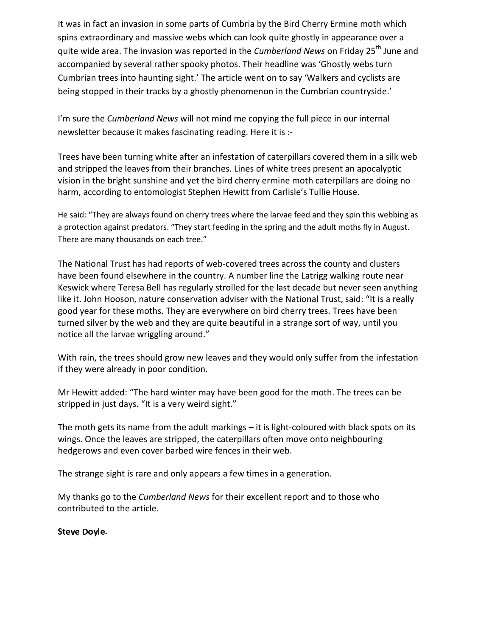It was in fact an invasion in some parts of Cumbria by the Bird Cherry Ermine moth which spins extraordinary and massive webs which can look quite ghostly in appearance over a quite wide area. The invasion was reported in the *Cumberland News* on Friday 25th June and accompanied by several rather spooky photos. Their headline was 'Ghostly webs turn Cumbrian trees into haunting sight.' The article went on to say 'Walkers and cyclists are being stopped in their tracks by a ghostly phenomenon in the Cumbrian countryside.'

I'm sure the *Cumberland News* will not mind me copying the full piece in our internal newsletter because it makes fascinating reading. Here it is :-

Trees have been turning white after an infestation of caterpillars covered them in a silk web and stripped the leaves from their branches. Lines of white trees present an apocalyptic vision in the bright sunshine and yet the bird cherry ermine moth caterpillars are doing no harm, according to entomologist Stephen Hewitt from Carlisle's Tullie House.

He said: "They are always found on cherry trees where the larvae feed and they spin this webbing as a protection against predators. "They start feeding in the spring and the adult moths fly in August. There are many thousands on each tree."

The National Trust has had reports of web-covered trees across the county and clusters have been found elsewhere in the country. A number line the Latrigg walking route near Keswick where Teresa Bell has regularly strolled for the last decade but never seen anything like it. John Hooson, nature conservation adviser with the National Trust, said: "It is a really good year for these moths. They are everywhere on bird cherry trees. Trees have been turned silver by the web and they are quite beautiful in a strange sort of way, until you notice all the larvae wriggling around."

With rain, the trees should grow new leaves and they would only suffer from the infestation if they were already in poor condition.

Mr Hewitt added: "The hard winter may have been good for the moth. The trees can be stripped in just days. "It is a very weird sight."

The moth gets its name from the adult markings – it is light-coloured with black spots on its wings. Once the leaves are stripped, the caterpillars often move onto neighbouring hedgerows and even cover barbed wire fences in their web.

The strange sight is rare and only appears a few times in a generation.

My thanks go to the *Cumberland News* for their excellent report and to those who contributed to the article.

Steve Dovle. The control of the Steve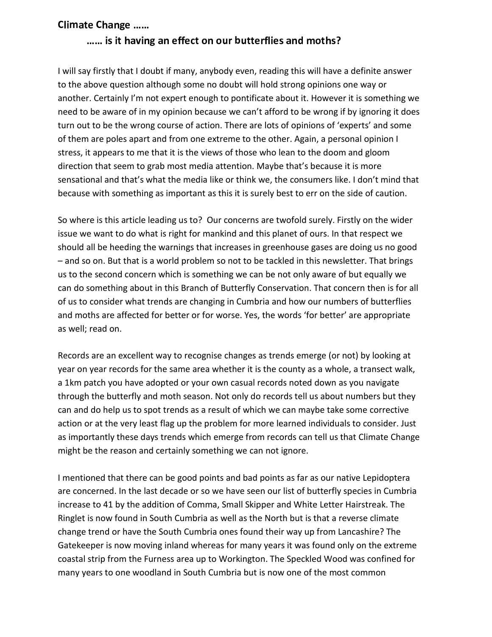## -

## enter and the contract of the contract of the contract of the contract of the contract of the contract of the c

I will say firstly that I doubt if many, anybody even, reading this will have a definite answer to the above question although some no doubt will hold strong opinions one way or another. Certainly I'm not expert enough to pontificate about it. However it is something we need to be aware of in my opinion because we can't afford to be wrong if by ignoring it does turn out to be the wrong course of action. There are lots of opinions of 'experts' and some of them are poles apart and from one extreme to the other. Again, a personal opinion I stress, it appears to me that it is the views of those who lean to the doom and gloom direction that seem to grab most media attention. Maybe that's because it is more sensational and that's what the media like or think we, the consumers like. I don't mind that because with something as important as this it is surely best to err on the side of caution.

So where is this article leading us to? Our concerns are twofold surely. Firstly on the wider issue we want to do what is right for mankind and this planet of ours. In that respect we should all be heeding the warnings that increases in greenhouse gases are doing us no good – and so on. But that is a world problem so not to be tackled in this newsletter. That brings us to the second concern which is something we can be not only aware of but equally we can do something about in this Branch of Butterfly Conservation. That concern then is for all of us to consider what trends are changing in Cumbria and how our numbers of butterflies and moths are affected for better or for worse. Yes, the words 'for better' are appropriate as well; read on.

Records are an excellent way to recognise changes as trends emerge (or not) by looking at year on year records for the same area whether it is the county as a whole, a transect walk, a 1km patch you have adopted or your own casual records noted down as you navigate through the butterfly and moth season. Not only do records tell us about numbers but they can and do help us to spot trends as a result of which we can maybe take some corrective action or at the very least flag up the problem for more learned individuals to consider. Just as importantly these days trends which emerge from records can tell us that Climate Change might be the reason and certainly something we can not ignore.

I mentioned that there can be good points and bad points as far as our native Lepidoptera are concerned. In the last decade or so we have seen our list of butterfly species in Cumbria increase to 41 by the addition of Comma, Small Skipper and White Letter Hairstreak. The Ringlet is now found in South Cumbria as well as the North but is that a reverse climate change trend or have the South Cumbria ones found their way up from Lancashire? The Gatekeeper is now moving inland whereas for many years it was found only on the extreme coastal strip from the Furness area up to Workington. The Speckled Wood was confined for many years to one woodland in South Cumbria but is now one of the most common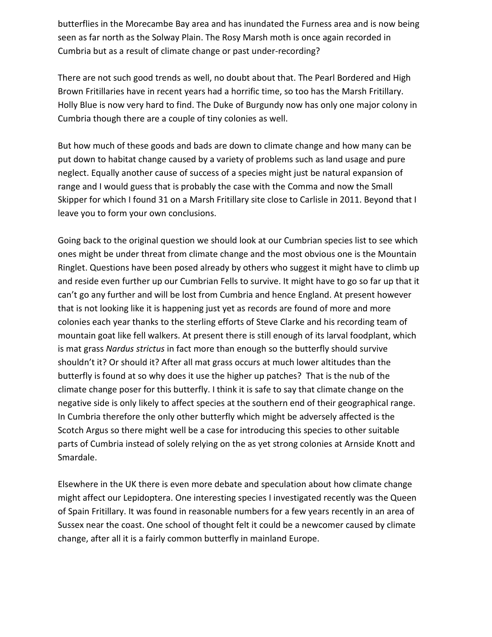butterflies in the Morecambe Bay area and has inundated the Furness area and is now being seen as far north as the Solway Plain. The Rosy Marsh moth is once again recorded in Cumbria but as a result of climate change or past under-recording?

There are not such good trends as well, no doubt about that. The Pearl Bordered and High Brown Fritillaries have in recent years had a horrific time, so too has the Marsh Fritillary. Holly Blue is now very hard to find. The Duke of Burgundy now has only one major colony in Cumbria though there are a couple of tiny colonies as well.

But how much of these goods and bads are down to climate change and how many can be put down to habitat change caused by a variety of problems such as land usage and pure neglect. Equally another cause of success of a species might just be natural expansion of range and I would guess that is probably the case with the Comma and now the Small Skipper for which I found 31 on a Marsh Fritillary site close to Carlisle in 2011. Beyond that I leave you to form your own conclusions.

Going back to the original question we should look at our Cumbrian species list to see which ones might be under threat from climate change and the most obvious one is the Mountain Ringlet. Questions have been posed already by others who suggest it might have to climb up and reside even further up our Cumbrian Fells to survive. It might have to go so far up that it can't go any further and will be lost from Cumbria and hence England. At present however that is not looking like it is happening just yet as records are found of more and more colonies each year thanks to the sterling efforts of Steve Clarke and his recording team of mountain goat like fell walkers. At present there is still enough of its larval foodplant, which is mat grass *Nardus strictus* in fact more than enough so the butterfly should survive shouldn't it? Or should it? After all mat grass occurs at much lower altitudes than the butterfly is found at so why does it use the higher up patches? That is the nub of the climate change poser for this butterfly. I think it is safe to say that climate change on the negative side is only likely to affect species at the southern end of their geographical range. In Cumbria therefore the only other butterfly which might be adversely affected is the Scotch Argus so there might well be a case for introducing this species to other suitable parts of Cumbria instead of solely relying on the as yet strong colonies at Arnside Knott and Smardale.

Elsewhere in the UK there is even more debate and speculation about how climate change might affect our Lepidoptera. One interesting species I investigated recently was the Queen of Spain Fritillary. It was found in reasonable numbers for a few years recently in an area of Sussex near the coast. One school of thought felt it could be a newcomer caused by climate change, after all it is a fairly common butterfly in mainland Europe.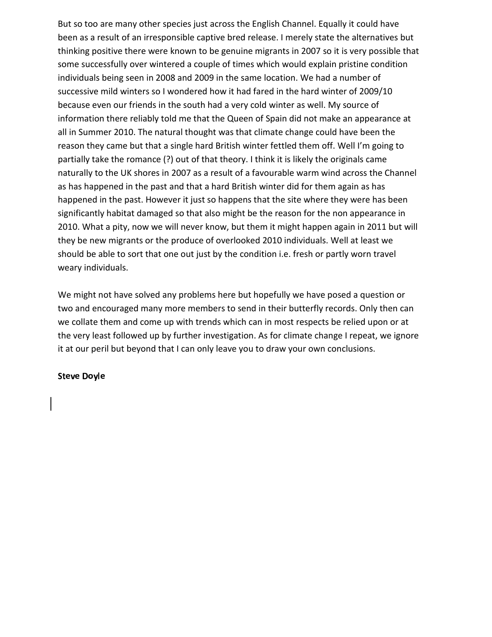But so too are many other species just across the English Channel. Equally it could have been as a result of an irresponsible captive bred release. I merely state the alternatives but thinking positive there were known to be genuine migrants in 2007 so it is very possible that some successfully over wintered a couple of times which would explain pristine condition individuals being seen in 2008 and 2009 in the same location. We had a number of successive mild winters so I wondered how it had fared in the hard winter of 2009/10 because even our friends in the south had a very cold winter as well. My source of information there reliably told me that the Queen of Spain did not make an appearance at all in Summer 2010. The natural thought was that climate change could have been the reason they came but that a single hard British winter fettled them off. Well I'm going to partially take the romance (?) out of that theory. I think it is likely the originals came naturally to the UK shores in 2007 as a result of a favourable warm wind across the Channel as has happened in the past and that a hard British winter did for them again as has happened in the past. However it just so happens that the site where they were has been significantly habitat damaged so that also might be the reason for the non appearance in 2010. What a pity, now we will never know, but them it might happen again in 2011 but will they be new migrants or the produce of overlooked 2010 individuals. Well at least we should be able to sort that one out just by the condition i.e. fresh or partly worn travel weary individuals.

We might not have solved any problems here but hopefully we have posed a question or two and encouraged many more members to send in their butterfly records. Only then can we collate them and come up with trends which can in most respects be relied upon or at the very least followed up by further investigation. As for climate change I repeat, we ignore it at our peril but beyond that I can only leave you to draw your own conclusions.

## Steve Dovle **Steve**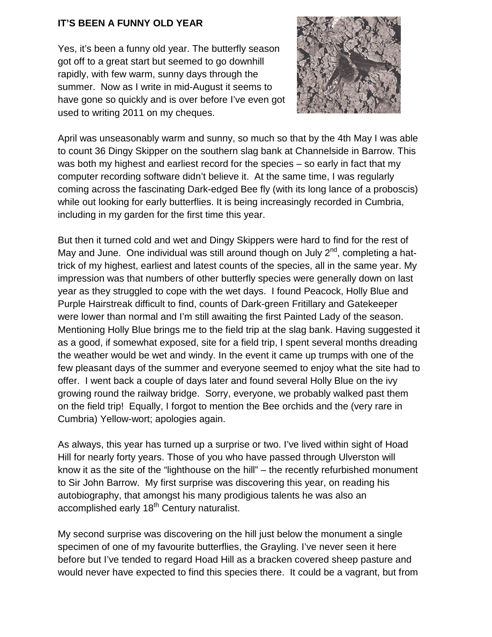## **IT'S BEEN A FUNNY OLD YEAR**

Yes, it's been a funny old year. The butterfly season got off to a great start but seemed to go downhill rapidly, with few warm, sunny days through the summer. Now as I write in mid-August it seems to have gone so quickly and is over before I've even got used to writing 2011 on my cheques.



April was unseasonably warm and sunny, so much so that by the 4th May I was able to count 36 Dingy Skipper on the southern slag bank at Channelside in Barrow. This was both my highest and earliest record for the species – so early in fact that my computer recording software didn't believe it. At the same time, I was regularly coming across the fascinating Dark-edged Bee fly (with its long lance of a proboscis) while out looking for early butterflies. It is being increasingly recorded in Cumbria, including in my garden for the first time this year.

But then it turned cold and wet and Dingy Skippers were hard to find for the rest of May and June. One individual was still around though on July  $2^{nd}$ , completing a hattrick of my highest, earliest and latest counts of the species, all in the same year. My impression was that numbers of other butterfly species were generally down on last year as they struggled to cope with the wet days. I found Peacock, Holly Blue and Purple Hairstreak difficult to find, counts of Dark-green Fritillary and Gatekeeper were lower than normal and I'm still awaiting the first Painted Lady of the season. Mentioning Holly Blue brings me to the field trip at the slag bank. Having suggested it as a good, if somewhat exposed, site for a field trip, I spent several months dreading the weather would be wet and windy. In the event it came up trumps with one of the few pleasant days of the summer and everyone seemed to enjoy what the site had to offer. I went back a couple of days later and found several Holly Blue on the ivy growing round the railway bridge. Sorry, everyone, we probably walked past them on the field trip! Equally, I forgot to mention the Bee orchids and the (very rare in Cumbria) Yellow-wort; apologies again.

As always, this year has turned up a surprise or two. I've lived within sight of Hoad Hill for nearly forty years. Those of you who have passed through Ulverston will know it as the site of the "lighthouse on the hill" – the recently refurbished monument to Sir John Barrow. My first surprise was discovering this year, on reading his autobiography, that amongst his many prodigious talents he was also an accomplished early 18<sup>th</sup> Century naturalist.

My second surprise was discovering on the hill just below the monument a single specimen of one of my favourite butterflies, the Grayling. I've never seen it here before but I've tended to regard Hoad Hill as a bracken covered sheep pasture and would never have expected to find this species there. It could be a vagrant, but from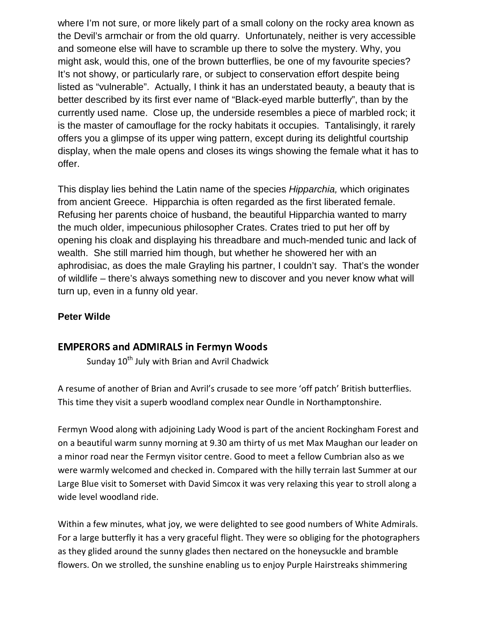where I'm not sure, or more likely part of a small colony on the rocky area known as the Devil's armchair or from the old quarry. Unfortunately, neither is very accessible and someone else will have to scramble up there to solve the mystery. Why, you might ask, would this, one of the brown butterflies, be one of my favourite species? It's not showy, or particularly rare, or subject to conservation effort despite being listed as "vulnerable". Actually, I think it has an understated beauty, a beauty that is better described by its first ever name of "Black-eyed marble butterfly", than by the currently used name. Close up, the underside resembles a piece of marbled rock; it is the master of camouflage for the rocky habitats it occupies. Tantalisingly, it rarely offers you a glimpse of its upper wing pattern, except during its delightful courtship display, when the male opens and closes its wings showing the female what it has to offer.

This display lies behind the Latin name of the species Hipparchia, which originates from ancient Greece. Hipparchia is often regarded as the first liberated female. Refusing her parents choice of husband, the beautiful Hipparchia wanted to marry the much older, impecunious philosopher Crates. Crates tried to put her off by opening his cloak and displaying his threadbare and much-mended tunic and lack of wealth. She still married him though, but whether he showered her with an aphrodisiac, as does the male Grayling his partner, I couldn't say. That's the wonder of wildlife – there's always something new to discover and you never know what will turn up, even in a funny old year.

## **Peter Wilde**

## $F_{A}$

Sunday  $10^{th}$  July with Brian and Avril Chadwick

A resume of another of Brian and Avril's crusade to see more 'off patch' British butterflies. This time they visit a superb woodland complex near Oundle in Northamptonshire.

Fermyn Wood along with adjoining Lady Wood is part of the ancient Rockingham Forest and on a beautiful warm sunny morning at 9.30 am thirty of us met Max Maughan our leader on a minor road near the Fermyn visitor centre. Good to meet a fellow Cumbrian also as we were warmly welcomed and checked in. Compared with the hilly terrain last Summer at our Large Blue visit to Somerset with David Simcox it was very relaxing this year to stroll along a wide level woodland ride.

Within a few minutes, what joy, we were delighted to see good numbers of White Admirals. For a large butterfly it has a very graceful flight. They were so obliging for the photographers as they glided around the sunny glades then nectared on the honeysuckle and bramble flowers. On we strolled, the sunshine enabling us to enjoy Purple Hairstreaks shimmering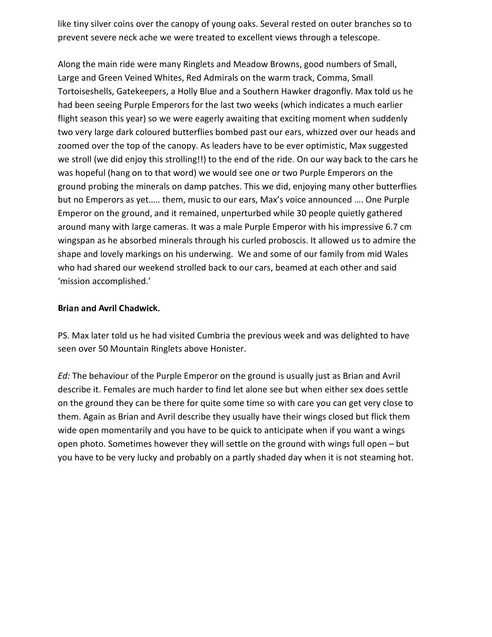like tiny silver coins over the canopy of young oaks. Several rested on outer branches so to prevent severe neck ache we were treated to excellent views through a telescope.

Along the main ride were many Ringlets and Meadow Browns, good numbers of Small, Large and Green Veined Whites, Red Admirals on the warm track, Comma, Small Tortoiseshells, Gatekeepers, a Holly Blue and a Southern Hawker dragonfly. Max told us he had been seeing Purple Emperors for the last two weeks (which indicates a much earlier flight season this year) so we were eagerly awaiting that exciting moment when suddenly two very large dark coloured butterflies bombed past our ears, whizzed over our heads and zoomed over the top of the canopy. As leaders have to be ever optimistic, Max suggested we stroll (we did enjoy this strolling!!) to the end of the ride. On our way back to the cars he was hopeful (hang on to that word) we would see one or two Purple Emperors on the ground probing the minerals on damp patches. This we did, enjoying many other butterflies but no Emperors as yet….. them, music to our ears, Max's voice announced …. One Purple Emperor on the ground, and it remained, unperturbed while 30 people quietly gathered around many with large cameras. It was a male Purple Emperor with his impressive 6.7 cm wingspan as he absorbed minerals through his curled proboscis. It allowed us to admire the shape and lovely markings on his underwing. We and some of our family from mid Wales who had shared our weekend strolled back to our cars, beamed at each other and said 'mission accomplished.'

## Brian and Avril Chadwick.

PS. Max later told us he had visited Cumbria the previous week and was delighted to have seen over 50 Mountain Ringlets above Honister.

*Ed:* The behaviour of the Purple Emperor on the ground is usually just as Brian and Avril describe it. Females are much harder to find let alone see but when either sex does settle on the ground they can be there for quite some time so with care you can get very close to them. Again as Brian and Avril describe they usually have their wings closed but flick them wide open momentarily and you have to be quick to anticipate when if you want a wings open photo. Sometimes however they will settle on the ground with wings full open – but you have to be very lucky and probably on a partly shaded day when it is not steaming hot.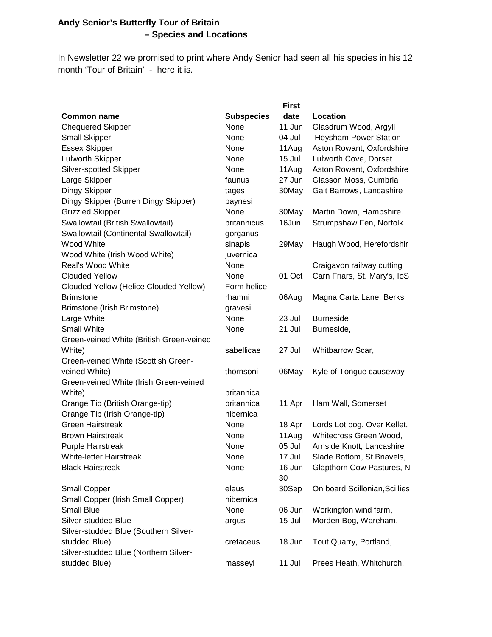## **Andy Senior's Butterfly Tour of Britain – Species and Locations**

In Newsletter 22 we promised to print where Andy Senior had seen all his species in his 12 month 'Tour of Britain' - here it is.

|                                          |                   | <b>First</b> |                               |
|------------------------------------------|-------------------|--------------|-------------------------------|
| <b>Common name</b>                       | <b>Subspecies</b> | date         | Location                      |
| <b>Chequered Skipper</b>                 | None              | 11 Jun       | Glasdrum Wood, Argyll         |
| <b>Small Skipper</b>                     | None              | 04 Jul       | <b>Heysham Power Station</b>  |
| <b>Essex Skipper</b>                     | None              | 11Aug        | Aston Rowant, Oxfordshire     |
| Lulworth Skipper                         | None              | 15 Jul       | Lulworth Cove, Dorset         |
| Silver-spotted Skipper                   | None              | 11Aug        | Aston Rowant, Oxfordshire     |
| Large Skipper                            | faunus            | 27 Jun       | Glasson Moss, Cumbria         |
| Dingy Skipper                            | tages             | 30May        | Gait Barrows, Lancashire      |
| Dingy Skipper (Burren Dingy Skipper)     | baynesi           |              |                               |
| <b>Grizzled Skipper</b>                  | None              | 30May        | Martin Down, Hampshire.       |
| Swallowtail (British Swallowtail)        | britannicus       | 16Jun        | Strumpshaw Fen, Norfolk       |
| Swallowtail (Continental Swallowtail)    | gorganus          |              |                               |
| Wood White                               | sinapis           | 29May        | Haugh Wood, Herefordshir      |
| Wood White (Irish Wood White)            | juvernica         |              |                               |
| <b>Real's Wood White</b>                 | None              |              | Craigavon railway cutting     |
| <b>Clouded Yellow</b>                    | None              | 01 Oct       | Carn Friars, St. Mary's, IoS  |
| Clouded Yellow (Helice Clouded Yellow)   | Form helice       |              |                               |
| <b>Brimstone</b>                         | rhamni            | 06Aug        | Magna Carta Lane, Berks       |
| Brimstone (Irish Brimstone)              | gravesi           |              |                               |
| Large White                              | None              | 23 Jul       | <b>Burneside</b>              |
| <b>Small White</b>                       | None              | 21 Jul       | Burneside,                    |
| Green-veined White (British Green-veined |                   |              |                               |
| White)                                   | sabellicae        | 27 Jul       | Whitbarrow Scar,              |
| Green-veined White (Scottish Green-      |                   |              |                               |
| veined White)                            | thornsoni         | 06May        | Kyle of Tongue causeway       |
| Green-veined White (Irish Green-veined   |                   |              |                               |
| White)                                   | britannica        |              |                               |
| Orange Tip (British Orange-tip)          | britannica        | 11 Apr       | Ham Wall, Somerset            |
| Orange Tip (Irish Orange-tip)            | hibernica         |              |                               |
| <b>Green Hairstreak</b>                  | None              | 18 Apr       | Lords Lot bog, Over Kellet,   |
| <b>Brown Hairstreak</b>                  | None              | 11Aug        | Whitecross Green Wood,        |
| <b>Purple Hairstreak</b>                 | None              | 05 Jul       | Arnside Knott, Lancashire     |
| <b>White-letter Hairstreak</b>           | None              | 17 Jul       | Slade Bottom, St. Briavels,   |
| <b>Black Hairstreak</b>                  | None              | 16 Jun       | Glapthorn Cow Pastures, N     |
|                                          |                   | 30           |                               |
| <b>Small Copper</b>                      | eleus             | 30Sep        | On board Scillonian, Scillies |
| Small Copper (Irish Small Copper)        | hibernica         |              |                               |
| <b>Small Blue</b>                        | None              | 06 Jun       | Workington wind farm,         |
| Silver-studded Blue                      | argus             | $15$ -Jul-   | Morden Bog, Wareham,          |
| Silver-studded Blue (Southern Silver-    |                   |              |                               |
| studded Blue)                            | cretaceus         | 18 Jun       | Tout Quarry, Portland,        |
| Silver-studded Blue (Northern Silver-    |                   |              |                               |
| studded Blue)                            | masseyi           | 11 Jul       | Prees Heath, Whitchurch,      |
|                                          |                   |              |                               |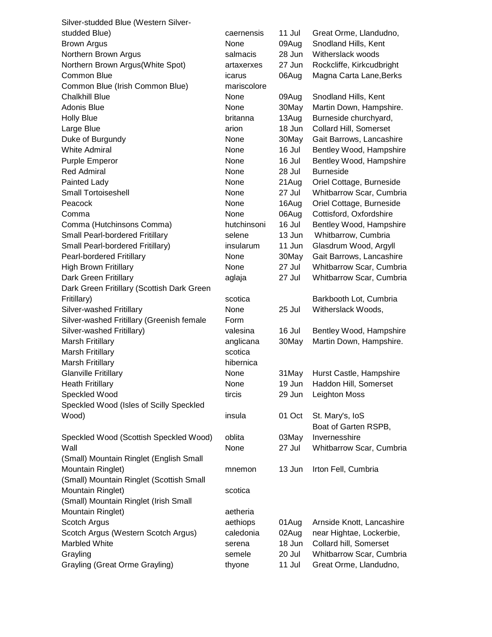| Silver-studded Blue (Western Silver-       |             |        |                           |
|--------------------------------------------|-------------|--------|---------------------------|
| studded Blue)                              | caernensis  | 11 Jul | Great Orme, Llandudno,    |
| <b>Brown Argus</b>                         | None        | 09Aug  | Snodland Hills, Kent      |
| Northern Brown Argus                       | salmacis    | 28 Jun | Witherslack woods         |
| Northern Brown Argus(White Spot)           | artaxerxes  | 27 Jun | Rockcliffe, Kirkcudbright |
| Common Blue                                | icarus      | 06Aug  | Magna Carta Lane, Berks   |
| Common Blue (Irish Common Blue)            | mariscolore |        |                           |
| <b>Chalkhill Blue</b>                      | None        | 09Aug  | Snodland Hills, Kent      |
| <b>Adonis Blue</b>                         | None        | 30May  | Martin Down, Hampshire.   |
| <b>Holly Blue</b>                          | britanna    | 13Aug  | Burneside churchyard,     |
| Large Blue                                 | arion       | 18 Jun | Collard Hill, Somerset    |
| Duke of Burgundy                           | None        | 30May  | Gait Barrows, Lancashire  |
| <b>White Admiral</b>                       | None        | 16 Jul | Bentley Wood, Hampshire   |
| <b>Purple Emperor</b>                      | None        | 16 Jul | Bentley Wood, Hampshire   |
| <b>Red Admiral</b>                         | None        | 28 Jul | <b>Burneside</b>          |
| Painted Lady                               | None        | 21Aug  | Oriel Cottage, Burneside  |
| <b>Small Tortoiseshell</b>                 | None        | 27 Jul | Whitbarrow Scar, Cumbria  |
| Peacock                                    | None        | 16Aug  | Oriel Cottage, Burneside  |
| Comma                                      | None        | 06Aug  | Cottisford, Oxfordshire   |
| Comma (Hutchinsons Comma)                  | hutchinsoni | 16 Jul | Bentley Wood, Hampshire   |
| Small Pearl-bordered Fritillary            | selene      | 13 Jun | Whitbarrow, Cumbria       |
| Small Pearl-bordered Fritillary)           | insularum   | 11 Jun | Glasdrum Wood, Argyll     |
| Pearl-bordered Fritillary                  | None        | 30May  | Gait Barrows, Lancashire  |
| <b>High Brown Fritillary</b>               | None        | 27 Jul | Whitbarrow Scar, Cumbria  |
| Dark Green Fritillary                      | aglaja      | 27 Jul | Whitbarrow Scar, Cumbria  |
| Dark Green Fritillary (Scottish Dark Green |             |        |                           |
| Fritillary)                                | scotica     |        | Barkbooth Lot, Cumbria    |
| Silver-washed Fritillary                   | None        | 25 Jul | Witherslack Woods,        |
| Silver-washed Fritillary (Greenish female  | Form        |        |                           |
| Silver-washed Fritillary)                  | valesina    | 16 Jul | Bentley Wood, Hampshire   |
| Marsh Fritillary                           | anglicana   | 30May  | Martin Down, Hampshire.   |
| <b>Marsh Fritillary</b>                    | scotica     |        |                           |
| <b>Marsh Fritillary</b>                    | hibernica   |        |                           |
| <b>Glanville Fritillary</b>                | None        | 31May  | Hurst Castle, Hampshire   |
| <b>Heath Fritillary</b>                    | None        | 19 Jun | Haddon Hill, Somerset     |
| Speckled Wood                              | tircis      | 29 Jun | Leighton Moss             |
| Speckled Wood (Isles of Scilly Speckled    |             |        |                           |
| Wood)                                      | insula      | 01 Oct | St. Mary's, IoS           |
|                                            |             |        | Boat of Garten RSPB,      |
| Speckled Wood (Scottish Speckled Wood)     | oblita      | 03May  | Invernesshire             |
| Wall                                       | None        | 27 Jul | Whitbarrow Scar, Cumbria  |
| (Small) Mountain Ringlet (English Small    |             |        |                           |
| Mountain Ringlet)                          | mnemon      | 13 Jun | Irton Fell, Cumbria       |
| (Small) Mountain Ringlet (Scottish Small   |             |        |                           |
| Mountain Ringlet)                          | scotica     |        |                           |
| (Small) Mountain Ringlet (Irish Small      |             |        |                           |
| Mountain Ringlet)                          | aetheria    |        |                           |
| Scotch Argus                               | aethiops    | 01Aug  | Arnside Knott, Lancashire |
| Scotch Argus (Western Scotch Argus)        | caledonia   | 02Aug  | near Hightae, Lockerbie,  |
| Marbled White                              | serena      | 18 Jun | Collard hill, Somerset    |
| Grayling                                   | semele      | 20 Jul | Whitbarrow Scar, Cumbria  |
| <b>Grayling (Great Orme Grayling)</b>      | thyone      | 11 Jul | Great Orme, Llandudno,    |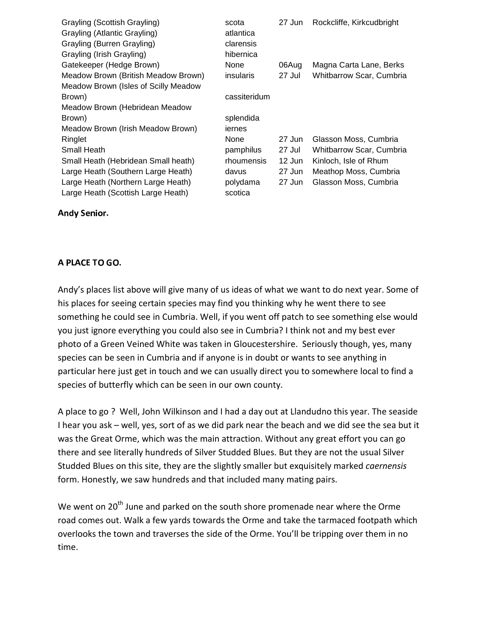| Grayling (Scottish Grayling)<br>Grayling (Atlantic Grayling)<br>Grayling (Burren Grayling)<br>Grayling (Irish Grayling) | scota<br>atlantica<br>clarensis<br>hibernica | 27 Jun   | Rockcliffe, Kirkcudbright |
|-------------------------------------------------------------------------------------------------------------------------|----------------------------------------------|----------|---------------------------|
| Gatekeeper (Hedge Brown)                                                                                                | None                                         | 06Aug    | Magna Carta Lane, Berks   |
| Meadow Brown (British Meadow Brown)                                                                                     | insularis                                    | 27 Jul   | Whitbarrow Scar, Cumbria  |
| Meadow Brown (Isles of Scilly Meadow                                                                                    |                                              |          |                           |
| Brown)                                                                                                                  | cassiteridum                                 |          |                           |
| Meadow Brown (Hebridean Meadow                                                                                          |                                              |          |                           |
| Brown)                                                                                                                  | splendida                                    |          |                           |
| Meadow Brown (Irish Meadow Brown)                                                                                       | iernes                                       |          |                           |
| Ringlet                                                                                                                 | None                                         | 27 Jun   | Glasson Moss, Cumbria     |
| Small Heath                                                                                                             | pamphilus                                    | 27 Jul   | Whitbarrow Scar, Cumbria  |
| Small Heath (Hebridean Small heath)                                                                                     | rhoumensis                                   | $12$ Jun | Kinloch, Isle of Rhum     |
| Large Heath (Southern Large Heath)                                                                                      | davus                                        | 27 Jun   | Meathop Moss, Cumbria     |
| Large Heath (Northern Large Heath)                                                                                      | polydama                                     | 27 Jun   | Glasson Moss, Cumbria     |
| Large Heath (Scottish Large Heath)                                                                                      | scotica                                      |          |                           |

#### Andy Senior. The control

#### A PLACE TO GO.

Andy's places list above will give many of us ideas of what we want to do next year. Some of his places for seeing certain species may find you thinking why he went there to see something he could see in Cumbria. Well, if you went off patch to see something else would you just ignore everything you could also see in Cumbria? I think not and my best ever photo of a Green Veined White was taken in Gloucestershire. Seriously though, yes, many species can be seen in Cumbria and if anyone is in doubt or wants to see anything in particular here just get in touch and we can usually direct you to somewhere local to find a species of butterfly which can be seen in our own county.

A place to go ? Well, John Wilkinson and I had a day out at Llandudno this year. The seaside I hear you ask – well, yes, sort of as we did park near the beach and we did see the sea but it was the Great Orme, which was the main attraction. Without any great effort you can go there and see literally hundreds of Silver Studded Blues. But they are not the usual Silver Studded Blues on this site, they are the slightly smaller but exquisitely marked *caernensis*  form. Honestly, we saw hundreds and that included many mating pairs.

We went on  $20<sup>th</sup>$  June and parked on the south shore promenade near where the Orme road comes out. Walk a few yards towards the Orme and take the tarmaced footpath which overlooks the town and traverses the side of the Orme. You'll be tripping over them in no time.